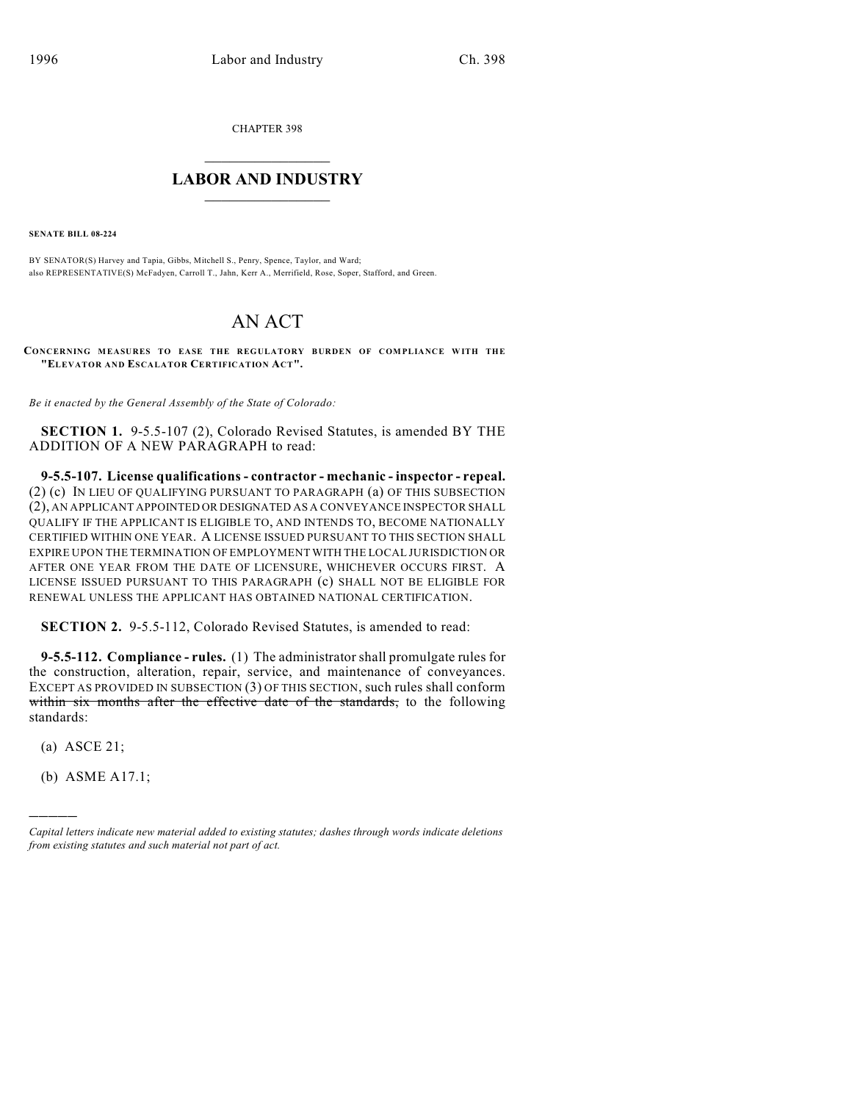CHAPTER 398

## $\mathcal{L}_\text{max}$  . The set of the set of the set of the set of the set of the set of the set of the set of the set of the set of the set of the set of the set of the set of the set of the set of the set of the set of the set **LABOR AND INDUSTRY**  $\frac{1}{\sqrt{2}}$  ,  $\frac{1}{\sqrt{2}}$  ,  $\frac{1}{\sqrt{2}}$  ,  $\frac{1}{\sqrt{2}}$  ,  $\frac{1}{\sqrt{2}}$  ,  $\frac{1}{\sqrt{2}}$

**SENATE BILL 08-224**

BY SENATOR(S) Harvey and Tapia, Gibbs, Mitchell S., Penry, Spence, Taylor, and Ward; also REPRESENTATIVE(S) McFadyen, Carroll T., Jahn, Kerr A., Merrifield, Rose, Soper, Stafford, and Green.

## AN ACT

**CONCERNING MEASURES TO EASE THE REGULATORY BURDEN OF COMPLIANCE WITH THE "ELEVATOR AND ESCALATOR CERTIFICATION ACT".**

*Be it enacted by the General Assembly of the State of Colorado:*

**SECTION 1.** 9-5.5-107 (2), Colorado Revised Statutes, is amended BY THE ADDITION OF A NEW PARAGRAPH to read:

**9-5.5-107. License qualifications - contractor - mechanic - inspector - repeal.** (2) (c) IN LIEU OF QUALIFYING PURSUANT TO PARAGRAPH (a) OF THIS SUBSECTION (2), AN APPLICANT APPOINTED OR DESIGNATED AS A CONVEYANCE INSPECTOR SHALL QUALIFY IF THE APPLICANT IS ELIGIBLE TO, AND INTENDS TO, BECOME NATIONALLY CERTIFIED WITHIN ONE YEAR. A LICENSE ISSUED PURSUANT TO THIS SECTION SHALL EXPIRE UPON THE TERMINATION OF EMPLOYMENT WITH THE LOCAL JURISDICTION OR AFTER ONE YEAR FROM THE DATE OF LICENSURE, WHICHEVER OCCURS FIRST. A LICENSE ISSUED PURSUANT TO THIS PARAGRAPH (c) SHALL NOT BE ELIGIBLE FOR RENEWAL UNLESS THE APPLICANT HAS OBTAINED NATIONAL CERTIFICATION.

**SECTION 2.** 9-5.5-112, Colorado Revised Statutes, is amended to read:

**9-5.5-112. Compliance - rules.** (1) The administrator shall promulgate rules for the construction, alteration, repair, service, and maintenance of conveyances. EXCEPT AS PROVIDED IN SUBSECTION (3) OF THIS SECTION, such rules shall conform within six months after the effective date of the standards, to the following standards:

(a) ASCE 21;

)))))

(b) ASME A17.1;

*Capital letters indicate new material added to existing statutes; dashes through words indicate deletions from existing statutes and such material not part of act.*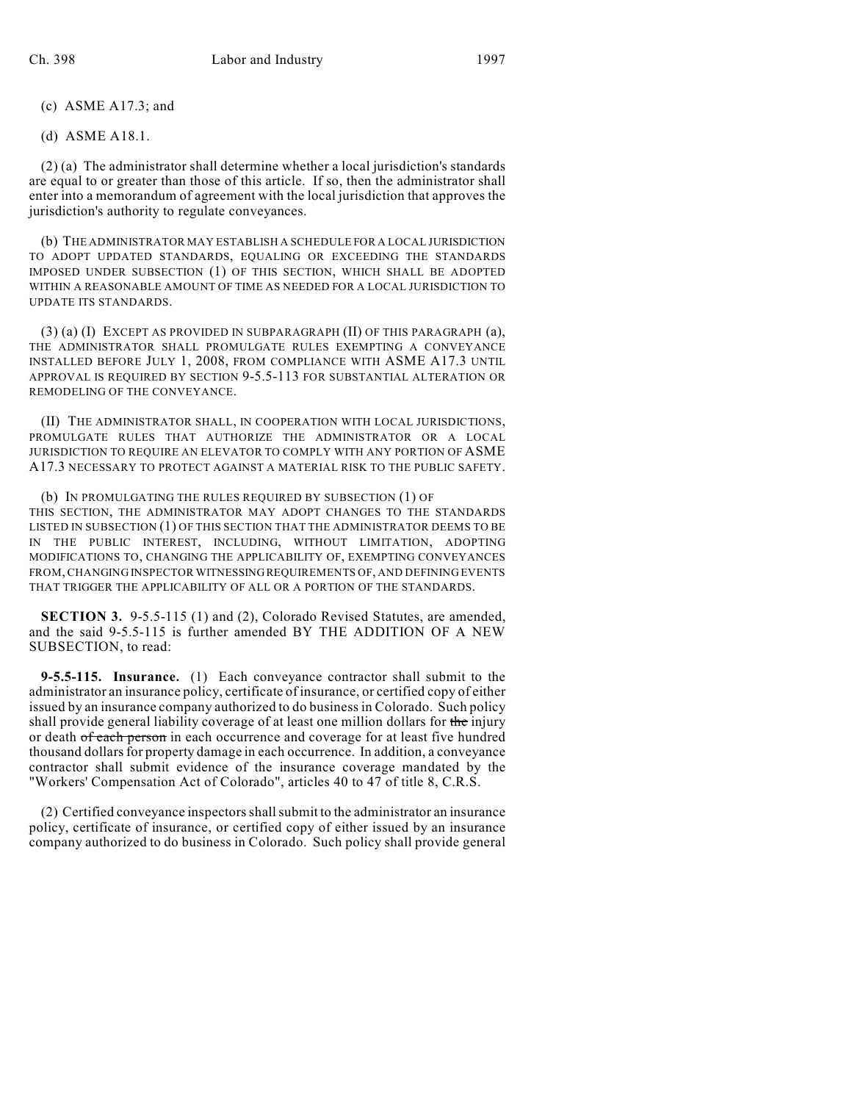(c) ASME A17.3; and

(d) ASME A18.1.

(2) (a) The administrator shall determine whether a local jurisdiction's standards are equal to or greater than those of this article. If so, then the administrator shall enter into a memorandum of agreement with the local jurisdiction that approves the jurisdiction's authority to regulate conveyances.

(b) THE ADMINISTRATOR MAY ESTABLISH A SCHEDULE FOR A LOCAL JURISDICTION TO ADOPT UPDATED STANDARDS, EQUALING OR EXCEEDING THE STANDARDS IMPOSED UNDER SUBSECTION (1) OF THIS SECTION, WHICH SHALL BE ADOPTED WITHIN A REASONABLE AMOUNT OF TIME AS NEEDED FOR A LOCAL JURISDICTION TO UPDATE ITS STANDARDS.

(3) (a) (I) EXCEPT AS PROVIDED IN SUBPARAGRAPH (II) OF THIS PARAGRAPH (a), THE ADMINISTRATOR SHALL PROMULGATE RULES EXEMPTING A CONVEYANCE INSTALLED BEFORE JULY 1, 2008, FROM COMPLIANCE WITH ASME A17.3 UNTIL APPROVAL IS REQUIRED BY SECTION 9-5.5-113 FOR SUBSTANTIAL ALTERATION OR REMODELING OF THE CONVEYANCE.

(II) THE ADMINISTRATOR SHALL, IN COOPERATION WITH LOCAL JURISDICTIONS, PROMULGATE RULES THAT AUTHORIZE THE ADMINISTRATOR OR A LOCAL JURISDICTION TO REQUIRE AN ELEVATOR TO COMPLY WITH ANY PORTION OF ASME A17.3 NECESSARY TO PROTECT AGAINST A MATERIAL RISK TO THE PUBLIC SAFETY.

(b) IN PROMULGATING THE RULES REQUIRED BY SUBSECTION (1) OF THIS SECTION, THE ADMINISTRATOR MAY ADOPT CHANGES TO THE STANDARDS LISTED IN SUBSECTION (1) OF THIS SECTION THAT THE ADMINISTRATOR DEEMS TO BE IN THE PUBLIC INTEREST, INCLUDING, WITHOUT LIMITATION, ADOPTING MODIFICATIONS TO, CHANGING THE APPLICABILITY OF, EXEMPTING CONVEYANCES FROM, CHANGING INSPECTOR WITNESSING REQUIREMENTS OF, AND DEFINING EVENTS THAT TRIGGER THE APPLICABILITY OF ALL OR A PORTION OF THE STANDARDS.

**SECTION 3.** 9-5.5-115 (1) and (2), Colorado Revised Statutes, are amended, and the said 9-5.5-115 is further amended BY THE ADDITION OF A NEW SUBSECTION, to read:

**9-5.5-115. Insurance.** (1) Each conveyance contractor shall submit to the administrator an insurance policy, certificate of insurance, or certified copy of either issued by an insurance company authorized to do business in Colorado. Such policy shall provide general liability coverage of at least one million dollars for the injury or death of each person in each occurrence and coverage for at least five hundred thousand dollars for property damage in each occurrence. In addition, a conveyance contractor shall submit evidence of the insurance coverage mandated by the "Workers' Compensation Act of Colorado", articles 40 to 47 of title 8, C.R.S.

(2) Certified conveyance inspectors shall submit to the administrator an insurance policy, certificate of insurance, or certified copy of either issued by an insurance company authorized to do business in Colorado. Such policy shall provide general